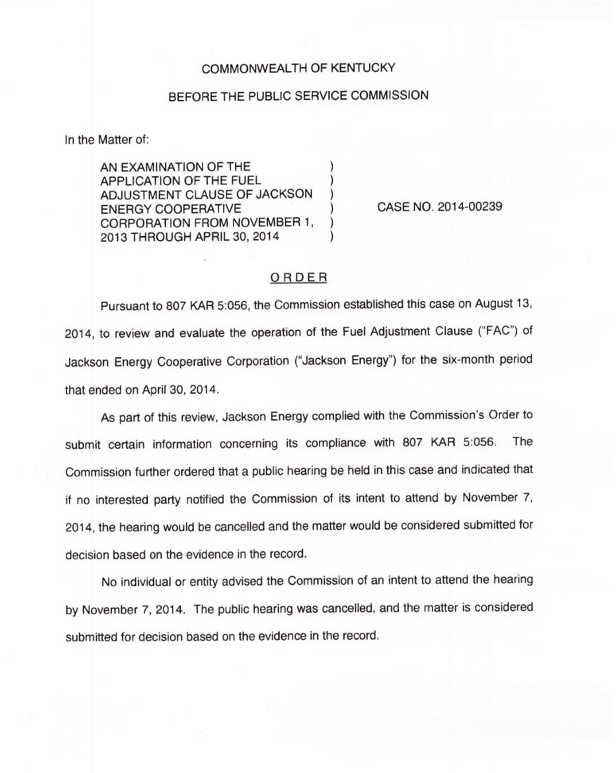## COMMONWEALTH OF KENTUCKY

## BEFORE THE PUBLIC SERVICE COMMISSION

In the Matter of:

AN EXAMINATION OF THE ) APPLICATION OF THE FUEL ) ADJUSTMENT CLAUSE OF JACKSON ) ENERGY COOPERATIVE CORPORATION FROM NOVEMBER 1, 2013 THROUGH APRIL 30, 2014 )

CASE NO. 2014-00239

## ORDER

Pursuant to 807 KAR 5:056, the Commission established this case on August 13, 2014, to review and evaluate the operation of the Fuel Adjustment Clause ("FAC") of Jackson Energy Cooperative Corporation ("Jackson Energy") for the six-month perio that ended on April 30, 2014.

As part of this review, Jackson Energy complied with the Commission's Order to submit certain information concerning its compliance with 807 KAR 5:056. The Commission further ordered that a public hearing be held in this case and indicated that if no interested party notified the Commission of its intent to attend by November 7, 2014, the hearing would be cancelled and the matter would be considered submitted for decision based on the evidence in the record.

No individual or entity advised the Commission of an intent to attend the hearing by November 7, 2014. The public hearing was cancelled, and the matter is considered submitted for decision based on the evidence in the record.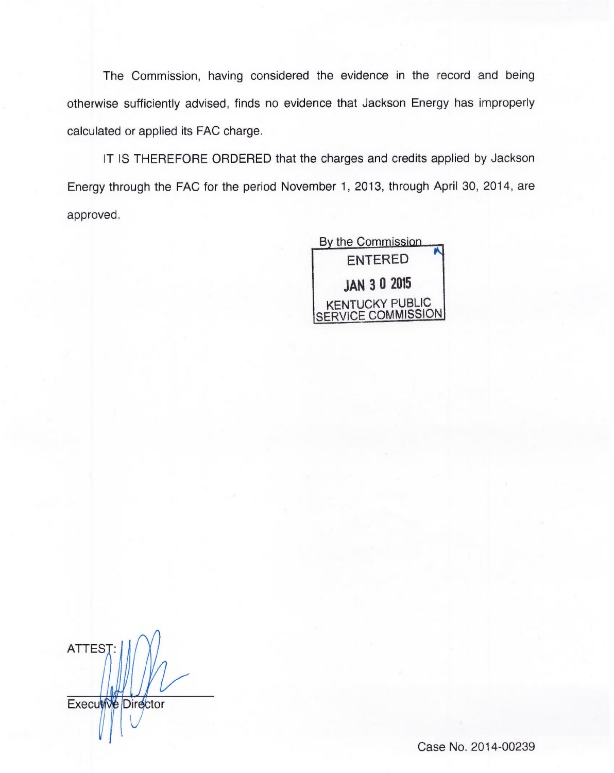The Commission, having considered the evidence in the record and being otherwise sufficiently advised, finds no evidence that Jackson Energy has improperly calculated or applied its FAC charge.

IT IS THEREFORE ORDERED that the charges and credits applied by Jackson Energy through the FAC for the period November 1, 2013, through April 30, 2014, are approved.

> By the Commission. ENTERED JAN 3 0 2015 KENTUCKY PUBLIC SERVICE COMMISSION

ATTES<sub>1</sub> Executive Director